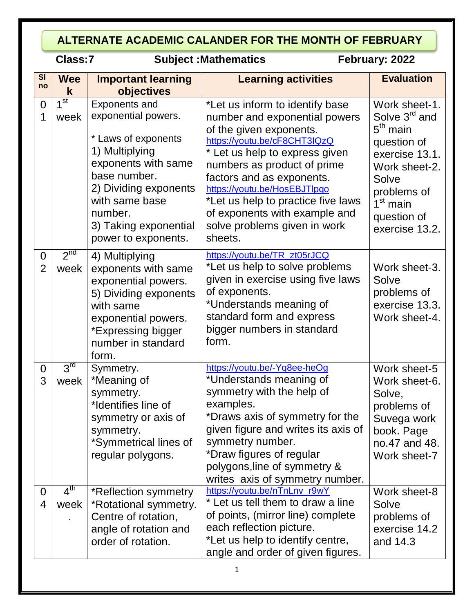#### **ALTERNATE ACADEMIC CALANDER FOR THE MONTH OF FEBRUARY**

## **Classified External Subject : Mathematics February: 2022**

| $\overline{\mathbf{S}}$<br>no    | <b>Wee</b>              | <b>Important learning</b>                                                                                                                                                                                                         | <b>Learning activities</b>                                                                                                                                                                                                                                                                                                                                                  | <b>Evaluation</b>                                                                                                                                                                           |
|----------------------------------|-------------------------|-----------------------------------------------------------------------------------------------------------------------------------------------------------------------------------------------------------------------------------|-----------------------------------------------------------------------------------------------------------------------------------------------------------------------------------------------------------------------------------------------------------------------------------------------------------------------------------------------------------------------------|---------------------------------------------------------------------------------------------------------------------------------------------------------------------------------------------|
|                                  | k<br>1 <sup>st</sup>    | objectives                                                                                                                                                                                                                        |                                                                                                                                                                                                                                                                                                                                                                             |                                                                                                                                                                                             |
| $\overline{0}$<br>1              | week                    | <b>Exponents and</b><br>exponential powers.<br>* Laws of exponents<br>1) Multiplying<br>exponents with same<br>base number.<br>2) Dividing exponents<br>with same base<br>number.<br>3) Taking exponential<br>power to exponents. | *Let us inform to identify base<br>number and exponential powers<br>of the given exponents.<br>https://youtu.be/cF8CHT3IQzQ<br>* Let us help to express given<br>numbers as product of prime<br>factors and as exponents.<br>https://youtu.be/HosEBJTlpqo<br>*Let us help to practice five laws<br>of exponents with example and<br>solve problems given in work<br>sheets. | Work sheet-1.<br>Solve 3 <sup>rd</sup> and<br>$5th$ main<br>question of<br>exercise 13.1.<br>Work sheet-2.<br>Solve<br>problems of<br>1 <sup>st</sup> main<br>question of<br>exercise 13.2. |
| $\overline{0}$<br>$\overline{2}$ | 2 <sup>nd</sup><br>week | 4) Multiplying<br>exponents with same<br>exponential powers.<br>5) Dividing exponents<br>with same<br>exponential powers.<br>*Expressing bigger<br>number in standard<br>form.                                                    | https://youtu.be/TR_zt05rJCQ<br>*Let us help to solve problems<br>given in exercise using five laws<br>of exponents.<br>*Understands meaning of<br>standard form and express<br>bigger numbers in standard<br>form.                                                                                                                                                         | Work sheet-3.<br>Solve<br>problems of<br>exercise 13.3.<br>Work sheet-4.                                                                                                                    |
| $\overline{0}$<br>3              | 3 <sup>rd</sup><br>week | Symmetry.<br>*Meaning of<br>symmetry.<br>*Identifies line of<br>symmetry or axis of<br>symmetry.<br>*Symmetrical lines of<br>regular polygons.                                                                                    | https://youtu.be/-Yq8ee-heOg<br>*Understands meaning of<br>symmetry with the help of<br>examples.<br>*Draws axis of symmetry for the<br>given figure and writes its axis of<br>symmetry number.<br>*Draw figures of regular<br>polygons, line of symmetry &<br>writes axis of symmetry number.                                                                              | Work sheet-5<br>Work sheet-6.<br>Solve,<br>problems of<br>Suvega work<br>book. Page<br>no.47 and 48.<br>Work sheet-7                                                                        |
| $\overline{0}$<br>$\overline{4}$ | 4 <sup>th</sup><br>week | *Reflection symmetry<br>*Rotational symmetry.<br>Centre of rotation,<br>angle of rotation and<br>order of rotation.                                                                                                               | https://youtu.be/nTnLnv_r9wY<br>* Let us tell them to draw a line<br>of points, (mirror line) complete<br>each reflection picture.<br>*Let us help to identify centre,<br>angle and order of given figures.                                                                                                                                                                 | Work sheet-8<br>Solve<br>problems of<br>exercise 14.2<br>and 14.3                                                                                                                           |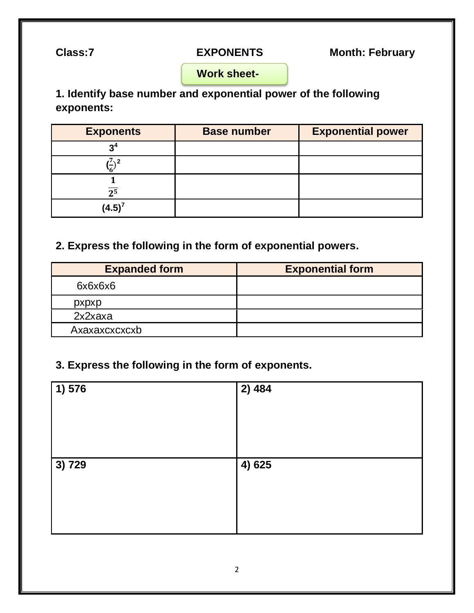**Class:7 EXPONENTS Month: February**

 **Work sheet-**

**1. Identify base number and exponential power of the following exponents:**

| <b>Exponents</b> | <b>Base number</b> | <b>Exponential power</b> |
|------------------|--------------------|--------------------------|
| 94               |                    |                          |
|                  |                    |                          |
| $\overline{2^5}$ |                    |                          |
| $(4.5)^7$        |                    |                          |

#### **2. Express the following in the form of exponential powers.**

| <b>Expanded form</b> | <b>Exponential form</b> |
|----------------------|-------------------------|
| 6x6x6x6              |                         |
| pxpxp                |                         |
| 2x2xaxa              |                         |
| Axaxaxcxcxcxb        |                         |

### **3. Express the following in the form of exponents.**

| 1) 576  | 2)484  |
|---------|--------|
| 13) 729 | 4) 625 |
|         |        |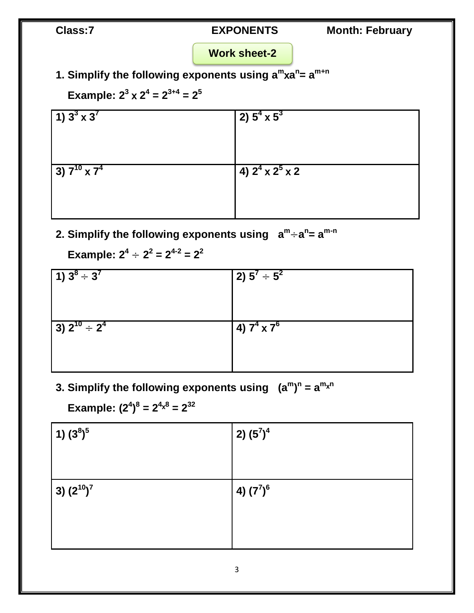Class:7 **EXPONENTS** Month: February

### **Work sheet-2**

**1. Simplify the following exponents using a m a n = a m+n** 

**Example:**  $2^3 \times 2^4 = 2^{3+4} = 2^5$ 

| 1) $3^3 \times 3^7$    | $(2)$ $5^4 \times 5^3$       |
|------------------------|------------------------------|
|                        |                              |
| 3) $7^{10} \times 7^4$ | 4) $2^4 \times 2^5 \times 2$ |
|                        |                              |

2. Simplify the following exponents using  $a^m \div a^n = a^{m-n}$ 

**Example:**  $2^4 \div 2^2 = 2^{4\text{-}2} = 2^2$ 

| $1) 3^8 \div 3^7$                      | $(2) 5^7 \div 5^2$   |
|----------------------------------------|----------------------|
|                                        |                      |
| $(3)$ 2 <sup>10</sup> ÷ 2 <sup>4</sup> | $(4) 7^4 \times 7^6$ |
|                                        |                      |

**3. Simplify the following exponents using (a<sup>m</sup> ) n = a m n**

 $\mathbf{Example: (2^4)^8} = 2^{4 \times 8} = 2^{32}$ 

| 1) (3 <sup>8</sup> ) <sup>5</sup> | $(2)$ $(5^7)^4$ |
|-----------------------------------|-----------------|
|                                   |                 |
|                                   |                 |
| $(3) (2^{10})^7$                  | 4) $(7^7)^6$    |
|                                   |                 |
|                                   |                 |
|                                   |                 |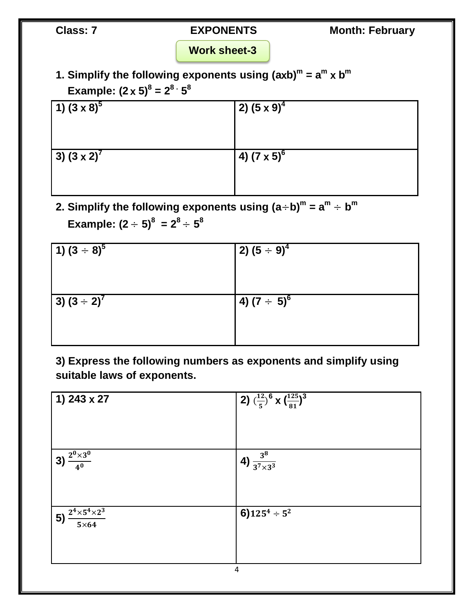#### **Work sheet-3**

1. Simplify the following exponents using  $(axb)^m = a^m \times b^m$  $\textsf{Example: } (2 \times 5)^8 = 2^8 \cdot 5^8$ 

| $(1)(3 \times 8)^{5}$ | $(2)$ $(5 \times 9)^4$ |
|-----------------------|------------------------|
|                       |                        |
| $(3)(3\times2)^{7}$   | $(4) (7 \times 5)^6$   |
|                       |                        |

2. Simplify the following exponents using  $(a \div b)^m = a^m \div b^m$  $\textsf{Example: (2 ÷ 5)}^8 = 2^8 \div 5^8$ 

| $(1)(3 \div 8)^5$   | $(2)$ $(5 \div 9)^4$ |
|---------------------|----------------------|
| $(3)(3 \div 2)^{7}$ | $(4)(7 \div 5)^6$    |

**3) Express the following numbers as exponents and simplify using suitable laws of exponents.**

| 2) $(\frac{12}{5})^6$ X $(\frac{125}{81})^3$ |
|----------------------------------------------|
|                                              |
| 4) $\frac{3^8}{3^7 \times 3^3}$              |
|                                              |
| 6) $125^4 \div 5^2$                          |
|                                              |
|                                              |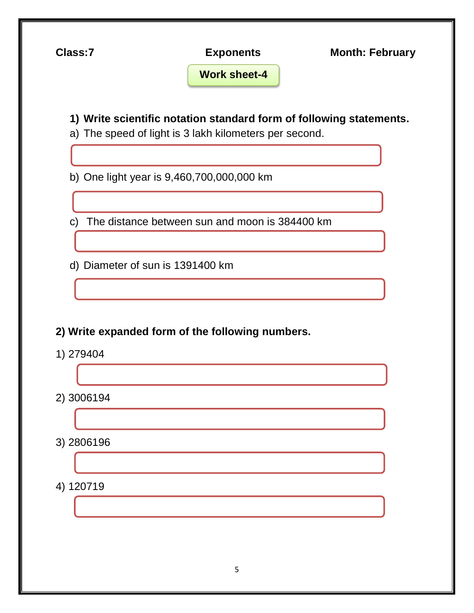**Class:7 Exponents Month: February 1) Write scientific notation standard form of following statements.** a) The speed of light is 3 lakh kilometers per second. b) One light year is 9,460,700,000,000 km c) The distance between sun and moon is 384400 km d) Diameter of sun is 1391400 km **2) Write expanded form of the following numbers.** 1) 279404 2) 3006194 3) 2806196 4) 120719 **Work sheet-4**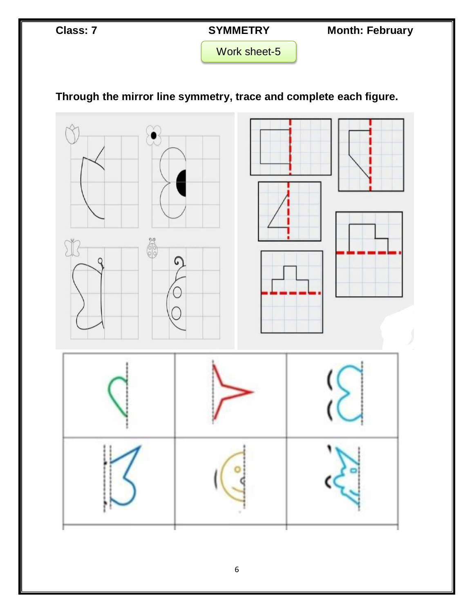**Class: 7 SYMMETRY** Month: February

Work sheet-5

# **Through the mirror line symmetry, trace and complete each figure.**

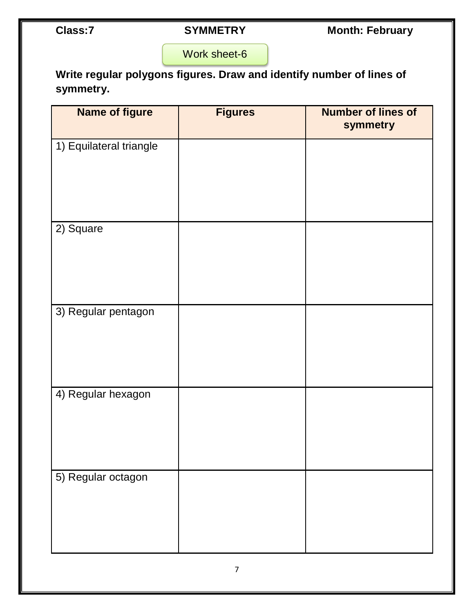Class:7 **SYMMETRY** Month: February

Work sheet-6

**Write regular polygons figures. Draw and identify number of lines of symmetry.**

| <b>Name of figure</b>   | <b>Figures</b> | <b>Number of lines of</b><br>symmetry |
|-------------------------|----------------|---------------------------------------|
| 1) Equilateral triangle |                |                                       |
| $\overline{2}$ ) Square |                |                                       |
| 3) Regular pentagon     |                |                                       |
| 4) Regular hexagon      |                |                                       |
| 5) Regular octagon      |                |                                       |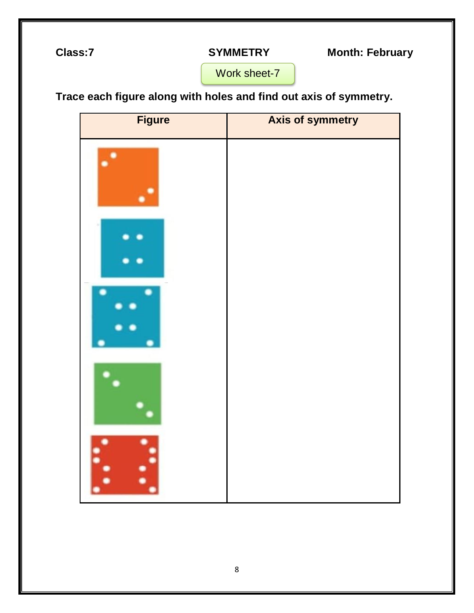Class:7 **SYMMETRY** Month: February

Work sheet-7

**Trace each figure along with holes and find out axis of symmetry.**

| <b>Figure</b> | <b>Axis of symmetry</b> |
|---------------|-------------------------|
|               |                         |
|               |                         |
|               |                         |
|               |                         |
| Ŀ.<br>I,      |                         |